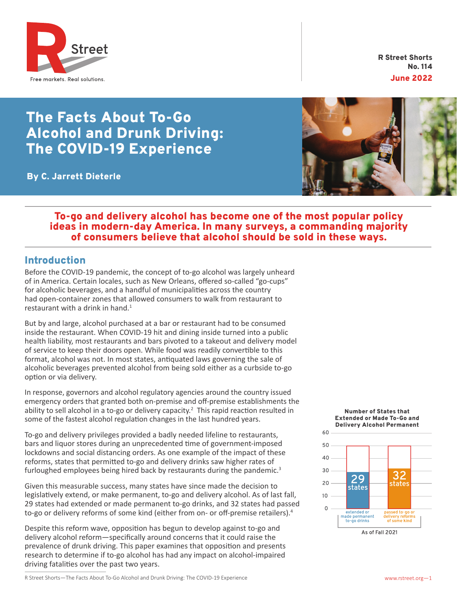

R Street Shorts No. 114 June 2022

# The Facts About To-Go Alcohol and Drunk Driving: The COVID-19 Experience

By C. Jarrett Dieterle



## To-go and delivery alcohol has become one of the most popular policy ideas in modern-day America. In many surveys, a commanding majority of consumers believe that alcohol should be sold in these ways.

# Introduction

Before the COVID-19 pandemic, the concept of to-go alcohol was largely unheard of in America. Certain locales, such as New Orleans, offered so-called "go-cups" for alcoholic beverages, and a handful of municipalities across the country had open-container zones that allowed consumers to walk from restaurant to restaurant with a drink in hand. $1$ 

But by and large, alcohol purchased at a bar or restaurant had to be consumed inside the restaurant. When COVID-19 hit and dining inside turned into a public health liability, most restaurants and bars pivoted to a takeout and delivery model of service to keep their doors open. While food was readily convertible to this format, alcohol was not. In most states, antiquated laws governing the sale of alcoholic beverages prevented alcohol from being sold either as a curbside to-go option or via delivery.

In response, governors and alcohol regulatory agencies around the country issued emergency orders that granted both on-premise and off-premise establishments the ability to sell alcohol in a to-go or delivery capacity.<sup>2</sup> This rapid reaction resulted in some of the fastest alcohol regulation changes in the last hundred years.

To-go and delivery privileges provided a badly needed lifeline to restaurants, bars and liquor stores during an unprecedented time of government-imposed lockdowns and social distancing orders. As one example of the impact of these reforms, states that permitted to-go and delivery drinks saw higher rates of furloughed employees being hired back by restaurants during the pandemic.<sup>3</sup>

Given this measurable success, many states have since made the decision to legislatively extend, or make permanent, to-go and delivery alcohol. As of last fall, 29 states had extended or made permanent to-go drinks, and 32 states had passed to-go or delivery reforms of some kind (either from on- or off-premise retailers).<sup>4</sup>

Despite this reform wave, opposition has begun to develop against to-go and delivery alcohol reform—specifically around concerns that it could raise the prevalence of drunk driving. This paper examines that opposition and presents research to determine if to-go alcohol has had any impact on alcohol-impaired driving fatalities over the past two years.

#### Number of States that Extended or Made To-Go and Delivery Alcohol Permanent

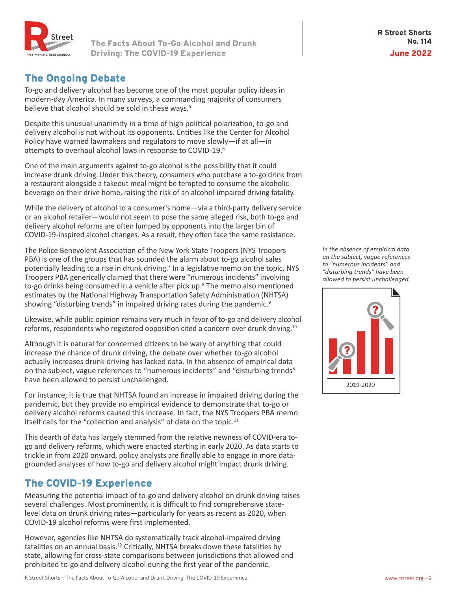

#### R Street Shorts No. 114 June 2022

# The Ongoing Debate

To-go and delivery alcohol has become one of the most popular policy ideas in modern-day America. In many surveys, a commanding majority of consumers believe that alcohol should be sold in these ways.<sup>5</sup>

Despite this unusual unanimity in a time of high political polarization, to-go and delivery alcohol is not without its opponents. Entities like the Center for Alcohol Policy have warned lawmakers and regulators to move slowly—if at all—in attempts to overhaul alcohol laws in response to COVID-19.<sup>6</sup>

One of the main arguments against to-go alcohol is the possibility that it could increase drunk driving.Under this theory, consumers who purchase a to-go drink from a restaurant alongside a takeout meal might be tempted to consume the alcoholic beverage on their drive home, raising the risk of an alcohol-impaired driving fatality.

While the delivery of alcohol to a consumer's home—via a third-party delivery service or an alcohol retailer—would not seem to pose the same alleged risk, both to-go and delivery alcohol reforms are often lumped by opponents into the larger bin of COVID-19-inspired alcohol changes. As a result, they often face the same resistance.

The Police Benevolent Association of the New York State Troopers (NYS Troopers PBA) is one of the groups that has sounded the alarm about to-go alcohol sales potentially leading to a rise in drunk driving.<sup>7</sup> In a legislative memo on the topic, NYS Troopers PBA generically claimed that there were "numerous incidents" involving to-go drinks being consumed in a vehicle after pick up.<sup>8</sup> The memo also mentioned estimates by the National Highway Transportation Safety Administration (NHTSA) showing "disturbing trends" in impaired driving rates during the pandemic.<sup>9</sup>

Likewise, while public opinion remains very much in favor of to-go and delivery alcohol reforms, respondents who registered opposition cited a concern over drunk driving.<sup>10</sup>

Although it is natural for concerned citizens to be wary of anything that could increase the chance of drunk driving, the debate over whether to-go alcohol actually increases drunk driving has lacked data. In the absence of empirical data on the subject, vague references to "numerous incidents" and "disturbing trends" have been allowed to persist unchallenged.

For instance, it is true that NHTSA found an increase in impaired driving during the pandemic, but they provide no empirical evidence to demonstrate that to-go or delivery alcohol reforms caused this increase. In fact, the NYS Troopers PBA memo itself calls for the "collection and analysis" of data on the topic.<sup>11</sup>

This dearth of data has largely stemmed from the relative newness of COVID-era togo and delivery reforms, which were enacted starting in early 2020. As data starts to trickle in from 2020 onward, policy analysts are finally able to engage in more datagrounded analyses of how to-go and delivery alcohol might impact drunk driving.

# The COVID-19 Experience

Measuring the potential impact of to-go and delivery alcohol on drunk driving raises several challenges. Most prominently, it is difficult to find comprehensive statelevel data on drunk driving rates—particularly for years as recent as 2020, when COVID-19 alcohol reforms were first implemented.

However, agencies like NHTSA do systematically track alcohol-impaired driving fatalities on an annual basis.<sup>12</sup> Critically, NHTSA breaks down these fatalities by state, allowing for cross-state comparisons between jurisdictions that allowed and prohibited to-go and delivery alcohol during the first year of the pandemic.

*In the absence of empirical data on the subject, vague references to "numerous incidents" and "disturbing trends" have been allowed to persist unchallenged.*

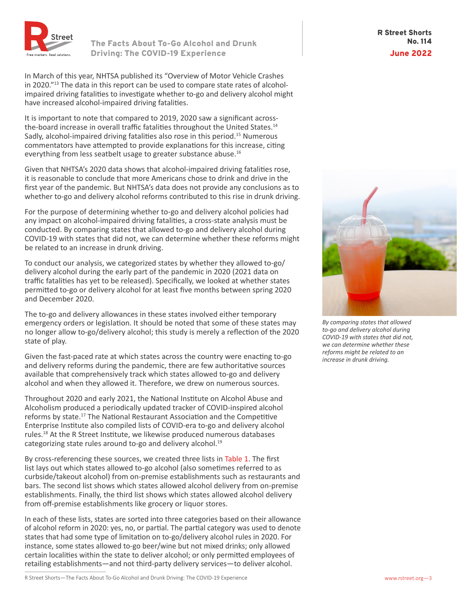

In March of this year, NHTSA published its "Overview of Motor Vehicle Crashes in 2020."13 The data in this report can be used to compare state rates of alcoholimpaired driving fatalities to investigate whether to-go and delivery alcohol might have increased alcohol-impaired driving fatalities.

It is important to note that compared to 2019, 2020 saw a significant acrossthe-board increase in overall traffic fatalities throughout the United States.<sup>14</sup> Sadly, alcohol-impaired driving fatalities also rose in this period.<sup>15</sup> Numerous commentators have attempted to provide explanations for this increase, citing everything from less seatbelt usage to greater substance abuse.<sup>16</sup>

Given that NHTSA's 2020 data shows that alcohol-impaired driving fatalities rose, it is reasonable to conclude that more Americans chose to drink and drive in the first year of the pandemic. But NHTSA's data does not provide any conclusions as to whether to-go and delivery alcohol reforms contributed to this rise in drunk driving.

For the purpose of determining whether to-go and delivery alcohol policies had any impact on alcohol-impaired driving fatalities, a cross-state analysis must be conducted. By comparing states that allowed to-go and delivery alcohol during COVID-19 with states that did not, we can determine whether these reforms might be related to an increase in drunk driving.

To conduct our analysis, we categorized states by whether they allowed to-go/ delivery alcohol during the early part of the pandemic in 2020 (2021 data on traffic fatalities has yet to be released). Specifically, we looked at whether states permitted to-go or delivery alcohol for at least five months between spring 2020 and December 2020.

The to-go and delivery allowances in these states involved either temporary emergency orders or legislation. It should be noted that some of these states may no longer allow to-go/delivery alcohol; this study is merely a reflection of the 2020 state of play.

Given the fast-paced rate at which states across the country were enacting to-go and delivery reforms during the pandemic, there are few authoritative sources available that comprehensively track which states allowed to-go and delivery alcohol and when they allowed it. Therefore, we drew on numerous sources.

Throughout 2020 and early 2021, the National Institute on Alcohol Abuse and Alcoholism produced a periodically updated tracker of COVID-inspired alcohol reforms by state.17 The National Restaurant Association and the Competitive Enterprise Institute also compiled lists of COVID-era to-go and delivery alcohol rules.18 At the R Street Institute, we likewise produced numerous databases categorizing state rules around to-go and delivery alcohol.<sup>19</sup>

By cross-referencing these sources, we created three lists in Table 1. The first list lays out which states allowed to-go alcohol (also sometimes referred to as curbside/takeout alcohol) from on-premise establishments such as restaurants and bars. The second list shows which states allowed alcohol delivery from on-premise establishments. Finally, the third list shows which states allowed alcohol delivery from off-premise establishments like grocery or liquor stores.

In each of these lists, states are sorted into three categories based on their allowance of alcohol reform in 2020: yes, no, or partial. The partial category was used to denote states that had some type of limitation on to-go/delivery alcohol rules in 2020. For instance, some states allowed to-go beer/wine but not mixed drinks; only allowed certain localities within the state to deliver alcohol; or only permitted employees of retailing establishments—and not third-party delivery services—to deliver alcohol.

R Street Shorts No. 114 June 2022



*By comparing states that allowed to-go and delivery alcohol during COVID-19 with states that did not, we can determine whether these reforms might be related to an increase in drunk driving.*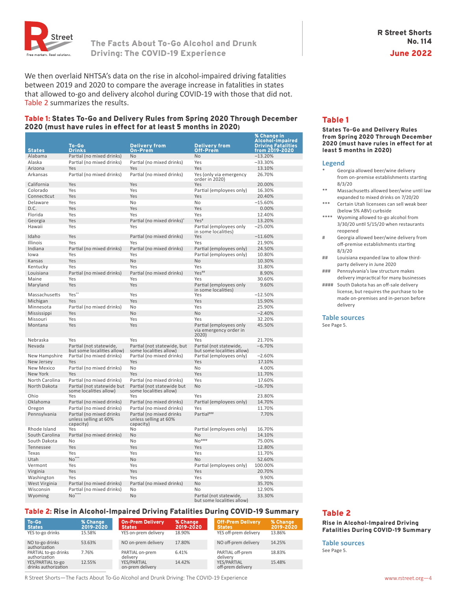

We then overlaid NHTSA's data on the rise in alcohol-impaired driving fatalities between 2019 and 2020 to compare the average increase in fatalities in states that allowed to-go and delivery alcohol during COVID-19 with those that did not. Table 2 summarizes the results.

#### Table 1: States To-Go and Delivery Rules from Spring 2020 Through December 2020 (must have rules in effect for at least 5 months in 2020)

| <b>States</b>     | To-Go<br><b>Drinks</b>                                         | <b>Delivery from</b><br><b>On-Prem</b>                         | <b>Delivery from</b><br>Off-Prem                           | % Change in<br><b>Alcohol-Impaired</b><br><b>Driving Fatalities</b><br>from 2019-2020 |
|-------------------|----------------------------------------------------------------|----------------------------------------------------------------|------------------------------------------------------------|---------------------------------------------------------------------------------------|
| Alabama           |                                                                | <b>No</b>                                                      | <b>No</b>                                                  | $-13.20%$                                                                             |
|                   | Partial (no mixed drinks)                                      |                                                                |                                                            |                                                                                       |
| Alaska            | Partial (no mixed drinks)                                      | Partial (no mixed drinks)                                      | Yes                                                        | $-33.30%$                                                                             |
| Arizona           | Yes                                                            | Yes                                                            | Yes                                                        | 13.10%                                                                                |
| Arkansas          | Partial (no mixed drinks)                                      | Partial (no mixed drinks)                                      | Yes (only via emergency<br>order in 2020)                  | 26.70%                                                                                |
| California        | Yes                                                            | Yes                                                            | Yes                                                        | 20.00%                                                                                |
| Colorado          | Yes                                                            | Yes                                                            | Partial (employees only)                                   | 16.30%                                                                                |
| Connecticut       | Yes                                                            | Yes                                                            | Yes                                                        | 20.40%                                                                                |
| Delaware          | Yes                                                            | No                                                             | No                                                         | $-15.60%$                                                                             |
| D.C.              | Yes                                                            | Yes                                                            | Yes                                                        | 0.00%                                                                                 |
| Florida           | Yes                                                            | Yes                                                            | Yes                                                        | 12.40%                                                                                |
| Georgia           | Yes                                                            | Partial (no mixed drinks)                                      | $Yes$ <sup>#</sup>                                         | 13.20%                                                                                |
| Hawaii            | Yes                                                            | Yes                                                            | Partial (employees only<br>in some localities)             | $-25.00%$                                                                             |
| Idaho             | Yes                                                            | Partial (no mixed drinks)                                      | Yes                                                        | $-11.60%$                                                                             |
| Illinois          | Yes                                                            | Yes                                                            | Yes                                                        | 21.90%                                                                                |
| Indiana           | Partial (no mixed drinks)                                      | Partial (no mixed drinks)                                      | Partial (employees only)                                   | 24.50%                                                                                |
| lowa              | Yes                                                            | Yes                                                            | Partial (employees only)                                   | 10.80%                                                                                |
| Kansas            | Yes                                                            | <b>No</b>                                                      | <b>No</b>                                                  | 10.30%                                                                                |
| Kentucky          | Yes                                                            | Yes                                                            | Yes                                                        | 31.80%                                                                                |
| Louisiana         | Partial (no mixed drinks)                                      | Partial (no mixed drinks)                                      | Yes##                                                      | 8.90%                                                                                 |
| Maine             | Yes                                                            | Yes                                                            | Yes                                                        | 30.60%                                                                                |
| Maryland          | Yes                                                            | Yes                                                            | Partial (employees only<br>in some localities)             | 9.60%                                                                                 |
| Massachusetts     | Yes**                                                          | Yes                                                            | Yes                                                        | $-12.50%$                                                                             |
| Michigan          | Yes                                                            | Yes                                                            | Yes                                                        | 15.90%                                                                                |
| Minnesota         | Partial (no mixed drinks)                                      | No                                                             | Yes                                                        | 25.90%                                                                                |
| Mississippi       | Yes                                                            | <b>No</b>                                                      | <b>No</b>                                                  | $-2.40%$                                                                              |
| Missouri          | Yes                                                            | Yes                                                            | Yes                                                        | 32.20%                                                                                |
| Montana           | Yes                                                            | Yes                                                            | Partial (employees only<br>via emergency order in<br>2020) | 45.50%                                                                                |
| Nebraska          | Yes                                                            | Yes                                                            | Yes                                                        | 21.70%                                                                                |
| Nevada            | Partial (not statewide,<br>but some localities allow)          | Partial (not statewide, but<br>some localities allow)          | Partial (not statewide,<br>but some localities allow)      | $-6.70%$                                                                              |
| New Hampshire     | Partial (no mixed drinks)                                      | Partial (no mixed drinks)                                      | Partial (employees only)                                   | $-2.60%$                                                                              |
| New Jersey        | Yes                                                            | Yes                                                            | Yes                                                        | 17.10%                                                                                |
| <b>New Mexico</b> | Partial (no mixed drinks)                                      | No                                                             | No                                                         | 4.00%                                                                                 |
| New York          | Yes                                                            | Yes                                                            | Yes                                                        | 11.70%                                                                                |
| North Carolina    | Partial (no mixed drinks)                                      | Partial (no mixed drinks)                                      | Yes                                                        | 17.60%                                                                                |
| North Dakota      | Partial (not statewide but<br>some localities allow)           | Partial (not statewide but<br>some localities allow)           | <b>No</b>                                                  | $-16.70%$                                                                             |
| Ohio              | Yes                                                            | Yes                                                            | Yes                                                        | 23.80%                                                                                |
| Oklahoma          | Partial (no mixed drinks)                                      | Partial (no mixed drinks)                                      | Partial (employees only)                                   | 14.70%                                                                                |
| Oregon            | Partial (no mixed drinks)                                      | Partial (no mixed drinks)                                      | Yes                                                        | 11.70%                                                                                |
| Pennsylvania      | Partial (no mixed drinks<br>unless selling at 60%<br>capacity) | Partial (no mixed drinks<br>unless selling at 60%<br>capacity) | Partial###                                                 | 7.70%                                                                                 |
| Rhode Island      | Yes                                                            | No                                                             | Partial (employees only)                                   | 16.70%                                                                                |
| South Carolina    | Partial (no mixed drinks)                                      | <b>No</b>                                                      | N <sub>0</sub>                                             | 14.10%                                                                                |
| South Dakota      | No                                                             | No                                                             | $No$ <sup>####</sup>                                       | 75.00%                                                                                |
| Tennessee         | Yes                                                            | Yes                                                            | Yes                                                        | 12.80%                                                                                |
| Texas             | Yes                                                            | Yes                                                            | Yes                                                        | 11.70%                                                                                |
| Utah              | No'                                                            | <b>No</b>                                                      | <b>No</b>                                                  | 52.60%                                                                                |
| Vermont           | Yes                                                            | Yes                                                            | Partial (employees only)                                   | 100.00%                                                                               |
| Virginia          | Yes                                                            | Yes                                                            | Yes                                                        | 20.70%                                                                                |
| Washington        | Yes                                                            | Yes                                                            | Yes                                                        | 9.90%                                                                                 |
| West Virginia     | Partial (no mixed drinks)                                      | Partial (no mixed drinks)                                      | <b>No</b>                                                  | 35.70%                                                                                |
| Wisconsin         | Partial (no mixed drinks)                                      | No                                                             | No                                                         | 12.90%                                                                                |
| Wyoming           | $No***$                                                        | No                                                             | Partial (not statewide,<br>but some localities allow)      | 33.30%                                                                                |

#### Table 2: Rise in Alcohol-Impaired Driving Fatalities During COVID-19 Summary

| To-Go<br><b>States</b>                    | % Change<br>2019-2020 | <b>On-Prem Delivery</b><br><b>States</b> | % Change<br>2019-2020 | <b>Off-Prem Delivery</b><br><b>States</b> | % Change<br>2019-2020 |
|-------------------------------------------|-----------------------|------------------------------------------|-----------------------|-------------------------------------------|-----------------------|
| YES to-go drinks                          | 15.58%                | YES on-prem delivery                     | 18.90%                | YES off-prem delivery                     | 13.86%                |
| NO to-go drinks<br>authorization          | 53.63%                | NO on-prem delivery                      | 17.80%                | NO off-prem delivery                      | 14.25%                |
| PARTIAL to-go drinks<br>authorization     | 7.76%                 | PARTIAL on-prem<br>delivery              | 6.41%                 | PARTIAL off-prem<br>delivery              | 18.83%                |
| YES/PARTIAL to-go<br>drinks authorization | 12.55%                | YES/PARTIAL<br>on-prem delivery          | 14.42%                | YES/PARTIAL<br>off-prem delivery          | 15.48%                |

#### Table 1

States To-Go and Delivery Rules from Spring 2020 Through December 2020 (must have rules in effect for at least 5 months in 2020)

#### **Legend**

- Georgia allowed beer/wine delivery from on-premise establishments starting 8/3/20
- \*\* Massachusetts allowed beer/wine until law expanded to mixed drinks on 7/20/20
- Certain Utah licensees can sell weak beer (below 5% ABV) curbside
- \*\*\*\* Wyoming allowed to-go alcohol from 3/30/20 until 5/15/20 when restaurants reopened
- # Georgia allowed beer/wine delivery from off-premise establishments starting 8/3/20
- ## Louisiana expanded law to allow thirdparty delivery in June 2020
- ### Pennsylvania's law structure makes delivery impractical for many businesses
- #### South Dakota has an off-sale delivery license, but requires the purchase to be made on-premises and in-person before delivery

**Table sources**

See Page 5.

### Table 2

Rise in Alcohol-Impaired Driving Fatalities During COVID-19 Summary

**Table sources** See Page 5.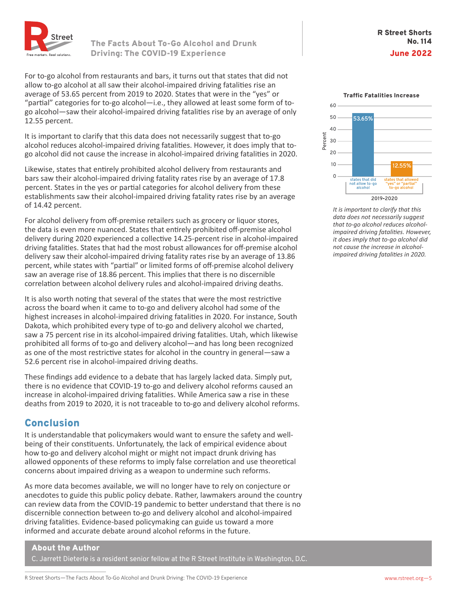

For to-go alcohol from restaurants and bars, it turns out that states that did not allow to-go alcohol at all saw their alcohol-impaired driving fatalities rise an average of 53.65 percent from 2019 to 2020. States that were in the "yes" or "partial" categories for to-go alcohol—i.e., they allowed at least some form of togo alcohol—saw their alcohol-impaired driving fatalities rise by an average of only 12.55 percent.

It is important to clarify that this data does not necessarily suggest that to-go alcohol reduces alcohol-impaired driving fatalities. However, it does imply that togo alcohol did not cause the increase in alcohol-impaired driving fatalities in 2020.

Likewise, states that entirely prohibited alcohol delivery from restaurants and bars saw their alcohol-impaired driving fatality rates rise by an average of 17.8 percent. States in the yes or partial categories for alcohol delivery from these establishments saw their alcohol-impaired driving fatality rates rise by an average of 14.42 percent.

For alcohol delivery from off-premise retailers such as grocery or liquor stores, the data is even more nuanced. States that entirely prohibited off-premise alcohol delivery during 2020 experienced a collective 14.25-percent rise in alcohol-impaired driving fatalities. States that had the most robust allowances for off-premise alcohol delivery saw their alcohol-impaired driving fatality rates rise by an average of 13.86 percent, while states with "partial" or limited forms of off-premise alcohol delivery saw an average rise of 18.86 percent. This implies that there is no discernible correlation between alcohol delivery rules and alcohol-impaired driving deaths.

It is also worth noting that several of the states that were the most restrictive across the board when it came to to-go and delivery alcohol had some of the highest increases in alcohol-impaired driving fatalities in 2020. For instance, South Dakota, which prohibited every type of to-go and delivery alcohol we charted, saw a 75 percent rise in its alcohol-impaired driving fatalities. Utah, which likewise prohibited all forms of to-go and delivery alcohol—and has long been recognized as one of the most restrictive states for alcohol in the country in general—saw a 52.6 percent rise in alcohol-impaired driving deaths.

These findings add evidence to a debate that has largely lacked data. Simply put, there is no evidence that COVID-19 to-go and delivery alcohol reforms caused an increase in alcohol-impaired driving fatalities. While America saw a rise in these deaths from 2019 to 2020, it is not traceable to to-go and delivery alcohol reforms.

## **Conclusion**

It is understandable that policymakers would want to ensure the safety and wellbeing of their constituents. Unfortunately, the lack of empirical evidence about how to-go and delivery alcohol might or might not impact drunk driving has allowed opponents of these reforms to imply false correlation and use theoretical concerns about impaired driving as a weapon to undermine such reforms.

As more data becomes available, we will no longer have to rely on conjecture or anecdotes to guide this public policy debate. Rather, lawmakers around the country can review data from the COVID-19 pandemic to better understand that there is no discernible connection between to-go and delivery alcohol and alcohol-impaired driving fatalities. Evidence-based policymaking can guide us toward a more informed and accurate debate around alcohol reforms in the future.

### About the Author

C. Jarrett Dieterle is a resident senior fellow at the R Street Institute in Washington, D.C.



*It is important to clarify that this data does not necessarily suggest that to-go alcohol reduces alcoholimpaired driving fatalities. However, it does imply that to-go alcohol did not cause the increase in alcoholimpaired driving fatalities in 2020.*